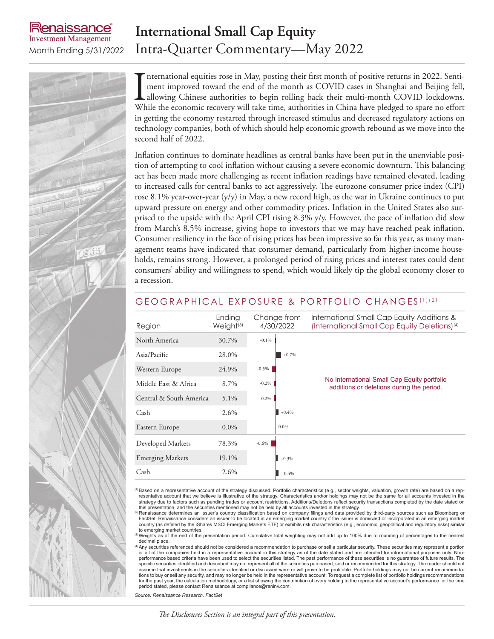### enaissance **Investment Management**

## **International Small Cap Equity** Month Ending 5/31/2022 Intra-Quarter Commentary—May 2022

International equities rose in May, posting their first month of positive returns in 2022. Sentiment improved toward the end of the month as COVID cases in Shanghai and Beijing fell, allowing Chinese authorities to begin r nternational equities rose in May, posting their first month of positive returns in 2022. Sentiment improved toward the end of the month as COVID cases in Shanghai and Beijing fell, allowing Chinese authorities to begin rolling back their multi-month COVID lockdowns. in getting the economy restarted through increased stimulus and decreased regulatory actions on technology companies, both of which should help economic growth rebound as we move into the second half of 2022.

Inflation continues to dominate headlines as central banks have been put in the unenviable position of attempting to cool inflation without causing a severe economic downturn. This balancing act has been made more challenging as recent inflation readings have remained elevated, leading to increased calls for central banks to act aggressively. The eurozone consumer price index (CPI) rose 8.1% year-over-year  $(y/y)$  in May, a new record high, as the war in Ukraine continues to put upward pressure on energy and other commodity prices. Inflation in the United States also surprised to the upside with the April CPI rising 8.3% y/y. However, the pace of inflation did slow from March's 8.5% increase, giving hope to investors that we may have reached peak inflation. Consumer resiliency in the face of rising prices has been impressive so far this year, as many management teams have indicated that consumer demand, particularly from higher-income households, remains strong. However, a prolonged period of rising prices and interest rates could dent consumers' ability and willingness to spend, which would likely tip the global economy closer to a recession.

### GEOGRAPHICAL EXPOSURE & PORTFOLIO CHANGES (1)(2)

| Region                  | Ending<br>Weight <sup>(3)</sup> | Change from<br>4/30/2022 | International Small Cap Equity Additions &<br>(International Small Cap Equity Deletions) <sup>(4)</sup> |  |
|-------------------------|---------------------------------|--------------------------|---------------------------------------------------------------------------------------------------------|--|
| North America           | 30.7%                           | $-0.1\%$                 |                                                                                                         |  |
| Asia/Pacific            | 28.0%                           | $+0.7%$                  |                                                                                                         |  |
| Western Europe          | 24.9%                           | $-0.5\%$                 |                                                                                                         |  |
| Middle East & Africa    | 8.7%                            | $-0.2\%$                 | No International Small Cap Equity portfolio<br>additions or deletions during the period.                |  |
| Central & South America | 5.1%                            | $-0.2\%$                 |                                                                                                         |  |
| Cash                    | 2.6%                            | $+0.4%$                  |                                                                                                         |  |
| Eastern Europe          | $0.0\%$                         | 0.0%                     |                                                                                                         |  |
| Developed Markets       | 78.3%                           | $-0.6\%$                 |                                                                                                         |  |
| <b>Emerging Markets</b> | 19.1%                           | $+0.3%$                  |                                                                                                         |  |
| Cash                    | 2.6%                            | $+0.4%$                  |                                                                                                         |  |

<sup>(1)</sup>Based on a representative account of the strategy discussed. Portfolio characteristics (e.g., sector weights, valuation, growth rate) are based on a representative account that we believe is illustrative of the strategy. Characteristics and/or holdings may not be the same for all accounts invested in the strategy due to factors such as pending trades or account restrictions. Additions/Deletions reflect security transactions completed by the date stated on<br>this presentation, and the securities mentioned may not be held by a

<sup>2)</sup> Renaissance determines an issuer's country classification based on company filings and data provided by third-party sources such as Bloomberg or FactSet. Renaissance considers an issuer to be located in an emerging market country if the issuer is domiciled or incorporated in an emerging market<br>country (as defined by the iShares MSCI Emerging Markets ETF) or exhibit to emerging market countries.

Weights as of the end of the presentation period. Cumulative total weighting may not add up to 100% due to rounding of percentages to the nearest decimal place.

<sup>(4)</sup>Any securities referenced should not be considered a recommendation to purchase or sell a particular security. These securities may represent a portion or all of the companies held in a representative account in this strategy as of the date stated and are intended for informational purposes only. Non-<br>performance based criteria have been used to select the securities list specific securities identified and described may not represent all of the securities purchased, sold or recommended for this strategy. The reader should not assume that investments in the securities identified or discussed were or will prove to be profitable. Portfolio holdings may not be current recommendations to buy or sell any security, and may no longer be held in the representative account. To request a complete list of portfolio holdings recommendations for the past year, the calculation methodology, or a list showing the contribution of every holding to the representative account's performance for the time period stated, please contact Renaissance at compliance@reninv.com.

*Source: Renaissance Research, FactSet*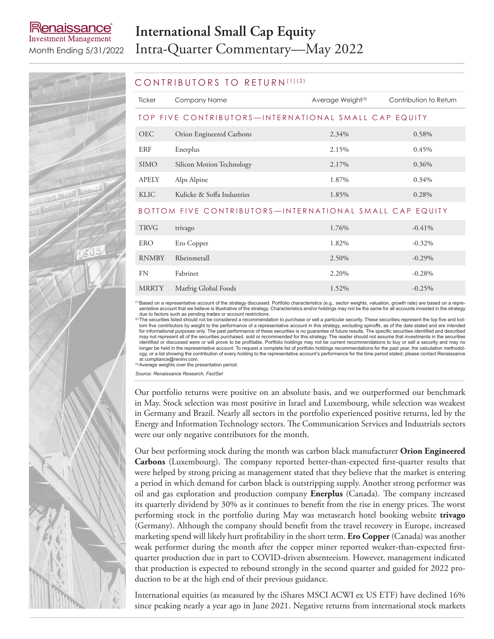## lenaissance **Investment Management**

# **International Small Cap Equity** Month Ending 5/31/2022 Intra-Quarter Commentary—May 2022



#### CONTRIBUTORS TO RETURN (1)(2)

| <b>Ticker</b>                                           | Company Name               | Average Weight <sup>(3)</sup> | Contribution to Return |  |  |  |
|---------------------------------------------------------|----------------------------|-------------------------------|------------------------|--|--|--|
| TOP FIVE CONTRIBUTORS—INTERNATIONAL SMALL CAP EQUITY    |                            |                               |                        |  |  |  |
| <b>OEC</b>                                              | Orion Engineered Carbons   | 2.34%                         | 0.58%                  |  |  |  |
| ERF                                                     | Enerplus                   | 2.15%                         | 0.45%                  |  |  |  |
| <b>SIMO</b>                                             | Silicon Motion Technology  | 2.17%                         | 0.36%                  |  |  |  |
| APELY                                                   | Alps Alpine                | 1.87%                         | 0.34%                  |  |  |  |
| <b>KLIC</b>                                             | Kulicke & Soffa Industries | 1.85%                         | 0.28%                  |  |  |  |
| BOTTOM FIVE CONTRIBUTORS-INTERNATIONAL SMALL CAP EQUITY |                            |                               |                        |  |  |  |
| <b>TRVG</b>                                             | trivago                    | 1.76%                         | $-0.41\%$              |  |  |  |

| <b>TRVG</b>  | trivago              | 1.76% | $-0.41%$  |
|--------------|----------------------|-------|-----------|
| ERO          | Ero Copper           | 1.82% | $-0.32\%$ |
| <b>RNMBY</b> | Rheinmetall          | 2.50% | $-0.29\%$ |
| FN           | Fabrinet             | 2.20% | $-0.28\%$ |
| <b>MRRTY</b> | Marfrig Global Foods | 1.52% | $-0.25%$  |

<sup>(1)</sup>Based on a representative account of the strategy discussed. Portfolio characteristics (e.g., sector weights, valuation, growth rate) are based on a representative account that we believe is illustrative of the strategy. Characteristics and/or holdings may not be the same for all accounts invested in the strategy due to factors such as pending trades or account restrictions.<br>(2) The securities listed should not be considered a recommendation to purchase or sell a particular security. These securities represent the top five and bot-

tom five contributors by weight to the performance of a representative account in this strategy, excluding spinoffs, as of the date stated and are intended<br>for informational purposes only. The past performance of these sec identified or discussed were or will prove to be profitable. Portfolio holdings may not be current recommendations to buy or sell a security and may no longer be held in the representative account. To request a complete list of portfolio holdings recommendations for the past year, the calculation methodology, or a list showing the contribution of every holding to the representative account's performance for the time period stated, please contact Renaissance at compliance@reninv.com.

(3)Average weights over the presentation period.

*Source: Renaissance Research, FactSet*

Our portfolio returns were positive on an absolute basis, and we outperformed our benchmark in May. Stock selection was most positive in Israel and Luxembourg, while selection was weakest in Germany and Brazil. Nearly all sectors in the portfolio experienced positive returns, led by the Energy and Information Technology sectors. The Communication Services and Industrials sectors were our only negative contributors for the month.

Our best performing stock during the month was carbon black manufacturer **Orion Engineered Carbons** (Luxembourg). The company reported better-than-expected first-quarter results that were helped by strong pricing as management stated that they believe that the market is entering a period in which demand for carbon black is outstripping supply. Another strong performer was oil and gas exploration and production company **Enerplus** (Canada). The company increased its quarterly dividend by 30% as it continues to benefit from the rise in energy prices. The worst performing stock in the portfolio during May was metasearch hotel booking website **trivago** (Germany). Although the company should benefit from the travel recovery in Europe, increased marketing spend will likely hurt profitability in the short term. **Ero Copper** (Canada) was another weak performer during the month after the copper miner reported weaker-than-expected firstquarter production due in part to COVID-driven absenteeism. However, management indicated that production is expected to rebound strongly in the second quarter and guided for 2022 production to be at the high end of their previous guidance.

International equities (as measured by the iShares MSCI ACWI ex US ETF) have declined 16% since peaking nearly a year ago in June 2021. Negative returns from international stock markets